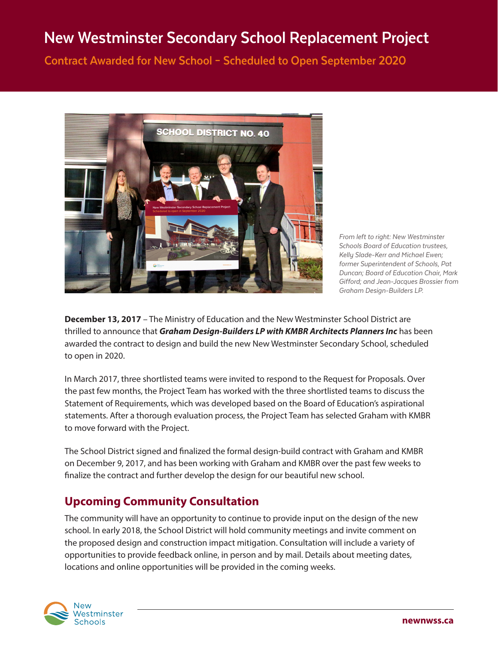# **New Westminster Secondary School Replacement Project**

**Contract Awarded for New School – Scheduled to Open September 2020**



From left to right: New Westminster Schools Board of Education trustees, Kelly Slade-Kerr and Michael Ewen; former Superintendent of Schools, Pat Duncan; Board of Education Chair, Mark Gifford; and Jean-Jacques Brossier from Graham Design-Builders LP.

**December 13, 2017** – The Ministry of Education and the New Westminster School District are thrilled to announce that *Graham Design-Builders LP with KMBR Architects Planners Inc* has been awarded the contract to design and build the new New Westminster Secondary School, scheduled to open in 2020.

In March 2017, three shortlisted teams were invited to respond to the Request for Proposals. Over the past few months, the Project Team has worked with the three shortlisted teams to discuss the Statement of Requirements, which was developed based on the Board of Education's aspirational statements. After a thorough evaluation process, the Project Team has selected Graham with KMBR to move forward with the Project.

The School District signed and finalized the formal design-build contract with Graham and KMBR on December 9, 2017, and has been working with Graham and KMBR over the past few weeks to finalize the contract and further develop the design for our beautiful new school.

# **Upcoming Community Consultation**

The community will have an opportunity to continue to provide input on the design of the new school. In early 2018, the School District will hold community meetings and invite comment on the proposed design and construction impact mitigation. Consultation will include a variety of opportunities to provide feedback online, in person and by mail. Details about meeting dates, locations and online opportunities will be provided in the coming weeks.